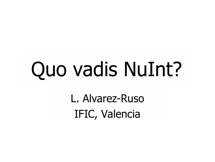# Quo vadis NuInt?

L. Alvarez-RusoIFIC, Valencia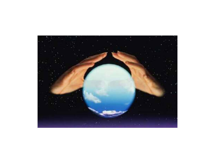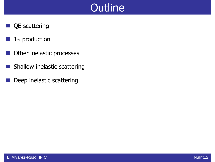### **Outline**

- **QE** scattering
- $1\pi$  production
- $\mathcal{L}_{\mathcal{A}}$ Other inelastic processes
- Shallow inelastic scattering
- a a Deep inelastic scattering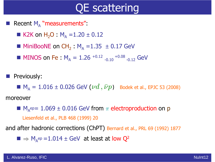- **Service Service** Recent  $M_A$  "measurements":
	- K2K on H<sub>2</sub>O : M<sub>A</sub> = 1.20 ± 0.12
	- **MiniBooNE on**  $CH_2$ **:**  $M_A = 1.35 \pm 0.17$  GeV
	- **MINOS on Fe :**  $M_A = 1.26 +0.12$   $_{-0.10} +0.08$   $_{-0.12}$  GeV
- Previously:

 $M_A = 1.016 \pm 0.026$  GeV  $(\nu d, \bar{\nu} p)$  Bodek et al., EPJC 53 (2008)

moreover

 $M_A^{e}$ ep= 1.069 ± 0.016 GeV from  $\pi$  electroproduction on p Liesenfeld et al., PLB 468 (1999) 20

and after hadronic corrections (ChPT) Bernard et al., PRL 69 (1992) 1877

 $\blacksquare \Rightarrow M_A^{ep} = 1.014 \pm GeV$  at least at low Q<sup>2</sup>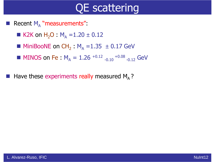- **Service Service Recent**  $M_A$  $_{\rm A}$  "measurements":
	- K2K on  $H_2O$  :  $M_A$  $_{\rm A}$  =1.20  $\pm$  0.12
	- **MiniBooNE** on CH  $_2$  :  $M_A$  $_{\rm A}$  =1.35  $\,\pm$  0.17 GeV
	- $\blacksquare$  MINOS on Fe :  $M_A$  $_{\rm A}$  = 1.26  $^{+0.12}$   $_{-0.10}$   $^{+0.08}$   $_{-0.12}$  GeV

**H** Have these experiments really measured M<sub>A</sub>?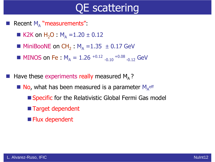- **Service Service** Recent  $M_A$  "measurements":
	- K2K on H<sub>2</sub>O : M<sub>A</sub> =1.20 ± 0.12
	- **MiniBooNE on**  $CH_2$ **:**  $M_A = 1.35 \pm 0.17$  GeV
	- **MINOS on Fe :**  $M_A = 1.26 +0.12$   $_{-0.10} +0.08$   $_{-0.12}$  GeV
- Have these experiments really measured  $M_A$ ?
	- $\blacksquare$  No, what has been measured is a parameter  $M_{A}$ eff
		- Specific for the Relativistic Global Fermi Gas model
		- Target dependent
		- **Flux dependent**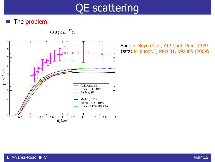#### The problem:



CCQE on  ${}^{12}C$ 

Source: Boyd et al., AIP Conf. Proc. 1189 Data: MiniBooNE, PRD 81, 092005 (2009)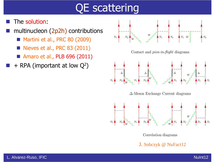- The solution:
- **Service Service**  multinucleon (2p2h) contributions
	- Martini et al., PRC 80 (2009)
	- Nieves et al., PRC 83 (2011)
	- Amaro et al., PLB 696 (2011)
- **Service Service**  $+$  RPA (important at low  $Q^2$ )



Correlation diagrams

J. Sobczyk @ NuFact12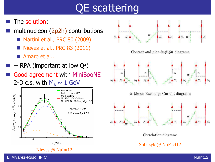- The solution:
- **Service Service**  multinucleon (2p2h) contributions
	- Martini et al., PRC 80 (2009)
	- Nieves et al., PRC 83 (2011)
	- Amaro et al.,
- **Service Service**  $+$  RPA (important at low  $Q^2$ )
- **Service Service**  Good agreement with MiniBooNE 2-D c.s. with  $\textsf{M}_{\textsf{A}}\sim 1$  GeV



 $N_2$  $N_1$  $N_1$  $\blacktriangle N_2$  $N_1$  W  $\blacktriangle N_2$  $W$ Contact and *pion-in-flight* diagrams Δ  $\Delta$  $\Delta$ W  $N_1$  $N_2$  $\Delta$ -Meson Exchange Current diagrams  $N_1$  $N_2$ Correlation diagrams

Sobczyk @ NuFact12

L. Alvarez-Ruso, IFIC Nunities and the control of the control of the control of the control of the control of the control of the control of the control of the control of the control of the control of the control of the con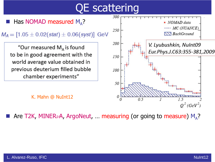

**Are T2K, MINER**<sub>V</sub>A, ArgoNeut, ... measuring (or going to measure)  $M_A$ ?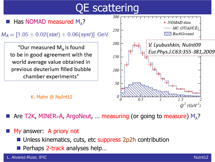

**Are T2K, MINER** $\nu$ A, ArgoNeut, ... measuring (or going to measure) M<sub>A</sub>?

#### **Service Service** My answer: A priory not

- Unless kinematics, cuts, etc suppress 2p2h contribution
- Perhaps 2-track analyses help...

#### L. Alvarez-Ruso, IFIC Nuncia and Alvarez-Ruso, IFIC Nulling and Alvarez-Ruso, Inc. Alvarez-Ruso, IFIC Nulling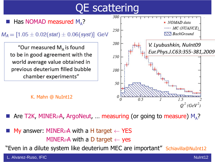

**Are T2K, MINER** $\nu$ A, ArgoNeut, ... measuring (or going to measure) M<sub>A</sub>?

**Service Service** My answer: MINER $\nu$ A with a H target  $\leftarrow$  YES  $MINER\nu A$  with a D target  $\leftarrow$  yes

"Even in a dilute system like deuterium MEC are important" Schiavilla@NuInt12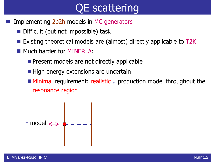- Implementing 2p2h models in MC generators
	- Difficult (but not impossible) task
	- i<br>List Existing theoretical models are (almost) directly applicable to T2K
	- **Much harder for MINER** $\nu$ A:
		- **Present models are not directly applicable**
		- High energy extensions are uncertain
		- $\blacksquare$  Minimal requirement: realistic  $\pi$  production model throughout the resonance region

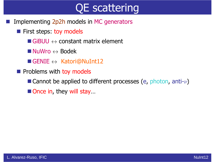- Implementing 2p2h models in MC generators
	- **First steps: toy models** 
		- $\blacksquare$  GiBUU  $\leftrightarrow$  constant matrix element
		- $\blacksquare$  NuWro  $\leftrightarrow$  Bodek
		- $\blacksquare$  GENIE  $\leftrightarrow$  Katori@NuInt12
	- **Problems with toy models** 
		- **Cannot be applied to different processes (e, photon, anti-** $\nu$ )
		- Once in, they will stay...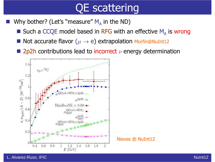Why bother? (Let's "measure"  $M_A$  in the ND)

- Such a CCQE model based in RFG with an effective  $M_A$  is wrong
- Not accurate flavor ( $\mu \rightarrow e$ ) extrapolation Morfin@NuInt12
- **2p2h contributions lead to incorrect**  $\nu$  energy determination



L. Alvarez-Ruso, IFIC Nuncia and Alvarez-Ruso, IFIC Nulling and Alvarez-Ruso, Inc. Alvarez-Ruso, IFIC Nulling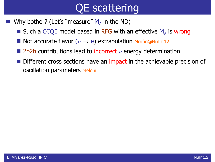- Why bother? (Let's "measure"  $M_A$  in the ND)
	- Such a CCQE model based in RFG with an effective  $M_A$  is wrong
	- Not accurate flavor ( $\mu \rightarrow e$ ) extrapolation Morfin@NuInt12
	- **2p2h contributions lead to incorrect**  $\nu$  energy determination
	- in<br>Lin Different cross sections have an impact in the achievable precision of oscillation parameters Meloni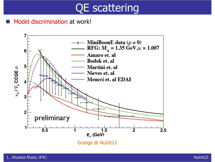#### Model discrimination at work!

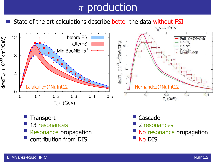State of the art calculations describe better the data without FSI<br> $v_{\mu}N \rightarrow \mu \bar{\tau} \pi^* N$ 



- **Transport**
- 13 resonances
- **Expending Propagation**
- contribution from DIS
- Cascade
- 2 resonances
- No resonance propagation
- No DIS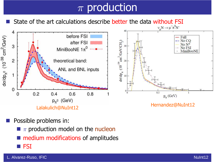State of the art calculations describe better the data without FSI<br> $v_{\text{N}} \rightarrow \mu \bar{\pi}^0 N$ 



**Service Service** Possible problems in:

- $\blacksquare$   $\pi$  production model on the nucleon
- **nd medium modifications of amplitudes**
- **FSI**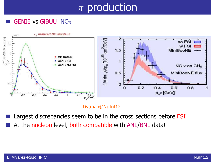#### **Service Service** GENIE vs GiBUU NC $\pi$ <sup>o</sup>



Dytman@NuInt12

Largest discrepancies seem to be in the cross sections before FSI

At the nucleon level, both compatible with ANL/BNL data!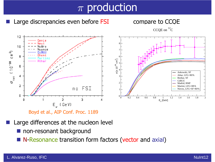

Boyd et al., AIP Conf. Proc. 1189

- Large differences at the nucleon level
	- non-resonant background
	- **N-Resonance transition form factors (vector and axial)**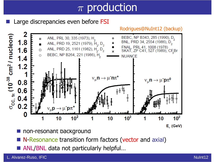Large discrepancies even before FSI

Rodrigues@NuInt12 (backup)



- er<br>19 non-resonant background
- N-Resonance transition form factors (vector and axial)
- ANL/BNL data not particularly helpful...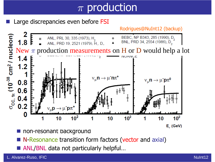Large discrepancies even before FSI

Rodrigues@NuInt12 (backup)



- er<br>19 non-resonant background
- N-Resonance transition form factors (vector and axial)
- ANL/BNL data not particularly helpful...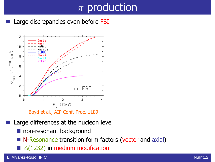Large discrepancies even before FSI



Boyd et al., AIP Conf. Proc. 1189

- Large differences at the nucleon level
	- non-resonant background
	- N-Resonance transition form factors (vector and axial)
	- $\blacksquare$   $\triangle$ (1232) in medium modification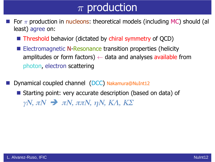- **Service Service** For  $\pi$  production in nucleons: theoretical models (including MC) should (al least) agree on:
	- Threshold behavior (dictated by chiral symmetry of QCD)
	- **Electromagnetic N-Resonance transition properties (helicity** amplitudes or form factors) ← data and analyses available from<br>rhatan\_elactrer\_conttering photon, electron scattering
- Dynamical coupled channel (DCC) Nakamura@NuInt12
	- Starting point: very accurate description (based on data) of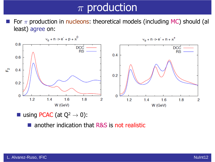**Service Service** For  $\pi$  production in nucleons: theoretical models (including MC) should (al least) agree on:



■ using PCAC (at  $Q^2 \rightarrow 0$ ):

**Service Service** another indication that R&S is not realistic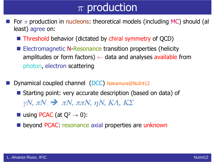- **Service Service** For  $\pi$  production in nucleons: theoretical models (including MC) should (al least) agree on:
	- Threshold behavior (dictated by chiral symmetry of QCD)
	- **Electromagnetic N-Resonance transition properties (helicity** amplitudes or form factors) ← data and analyses available from<br>rhatan\_elactrer\_conttering photon, electron scattering
- Dynamical coupled channel (DCC) Nakamura@NuInt12
	- Starting point: very accurate description (based on data) of  $\gamma N$ ,  $\pi N \rightarrow \pi N$ ,  $\pi \pi N$ ,  $\eta N$ ,  $K\Lambda$ ,  $K\Sigma$
	- using PCAC (at  $Q^2 \rightarrow 0$ ):
	- **Deyond PCAC: resonance axial properties are unknown**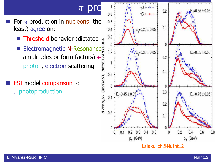### ${\cal T}$

- **Service Service** For  $\pi$  production in nucleons: the 0.6  $\frac{1}{2}$  including MC least) agree on: least) agree on:
	-
	- Electromagnetic N-Resonance  $\frac{1}{2}$  1.5  $\left\{\begin{array}{ccc} 1.5 & \frac{1}{2} & \frac{1}{2} & \frac{1}{2} \\ \frac{1}{2} & \frac{1}{2} & \frac{1}{2} & \frac{1}{2} \\ \frac{1}{2} & \frac{1}{2} & \frac{1}{2} & \frac{1}{2} \end{array}\right\}$ amplitudes or form factors) ←photon, electron scattering
- **FSI** model comparison to  $\pi$  photoproduction

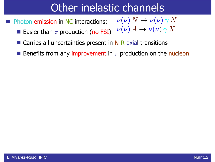# Other inelastic channels

Photon emission in NC interactions:

**Easier than**  $\pi$  production (no FSI)

 $\nu(\bar{\nu}) \, N \rightarrow \nu(\bar{\nu}) \, \gamma \, N$ <br> $\nu(\bar{\nu}) \, A \rightarrow \nu(\bar{\nu}) \, \gamma \, X$  $\nu(\bar{\nu})\,A \to \nu(\bar{\nu})\,\gamma\,X$ 

- in<br>Lin Carries all uncertainties present in N-R axial transitions
- Benefits from any improvement in  $\pi$  production on the nucleon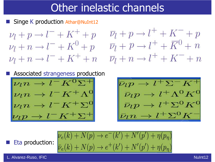### Other inelastic channels

Singe K production Athar@NuInt12

 $\nu_l + p \rightarrow l^- + K^+ + p$  $\nu_l + n \rightarrow l^- + K^0 + p$  $\nu_l + n \rightarrow l^- + K^+ + n$ 

$$
\overline{\nu}_l + p \rightarrow l^+ + K^- + p
$$
  

$$
\overline{\nu}_l + p \rightarrow l^+ + \overline{K}^0 + n
$$
  

$$
\overline{\nu}_l + n \rightarrow l^+ + K^- + n
$$

Associated strangeness production

$$
\nu_{l}n \to l^{-}K^{0}\Sigma^{+}
$$
  
\n
$$
\nu_{l}n \to l^{-}K^{+}\Lambda^{0}
$$
  
\n
$$
\nu_{l}n \to l^{-}K^{+}\Sigma^{0}
$$
  
\n
$$
\nu_{l}p \to l^{-}K^{+}\Sigma^{+}
$$

$$
\overline{\nu_l p \to l^+ \Sigma^- K^+}
$$
\n
$$
\overline{\nu_l p \to l^+ \Lambda^0 K^0}
$$
\n
$$
\overline{\nu_l p \to l^+ \Sigma^0 K^0}
$$
\n
$$
\overline{\nu_l n \to l^+ \Sigma^0 K^-}
$$

**Service Service** Eta production:

$$
\nu_e(k) + N(p) \to e^-(k') + N'(p') + \eta(p_\eta)
$$
  

$$
\bar{\nu}_e(k) + N(p) \to e^+(k') + N'(p') + \eta(p_\eta)
$$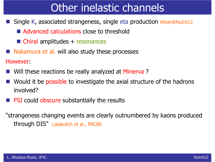### Other inelastic channels

- Single K, associated strangeness, single eta production Athar@NuInt12
	- Advanced calculations close to threshold
	- Chiral amplitudes + resonances
- **Service Service** Nakamura et al. will also study these processes

However:

- Will these reactions be really analyzed at Minerva ?
- **Service Service**  Would it be possible to investigate the axial structure of the hadrons involved?
- **FSI could obscure substantially the results**

"strangeness changing events are clearly outnumbered by kaons produced through DIS" Lalakulich et al., PRC86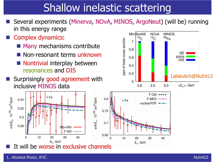# Shallow inelastic scattering

- Several experiments (Minerva, NOvA, MINOS, ArgoNeut) (will be) running in this energy range
- Complex dynamics:
	- **Many mechanisms contribute**
	- i<br>List Non-resonant terms unknown
	- **Nontrivial interplay between** resonances and DIS
- Surprisingly good agreement with inclusive MINOS data



MiniBooNE **NOvA MINOS**  $12<sub>C</sub>$  $12<sub>C</sub>$  $56$ Fe bart of total cross section  $0.8$ ΩF  $0.6$ pions **DIS**  $0.4$  $0.2$ Lalakulich@NuInt12 $\Omega$  $\langle E_v \rangle$ , GeV  $0.8$  $2.0$  $5.0$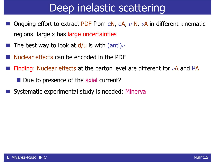### Deep inelastic scattering

- Ongoing effort to extract PDF from eN, eA,  $\nu$  N,  $\nu$ A in different kinematic regions: large x has large uncertainties
- The best way to look at  $d/u$  is with (anti) $\nu$
- **Service Service** Nuclear effects can be encoded in the PDF
- **Service Service** Finding: Nuclear effects at the parton level are different for  $\nu$ A and  $\pm A$ 
	- Due to presence of the axial current?
- Systematic experimental study is needed: Minerva